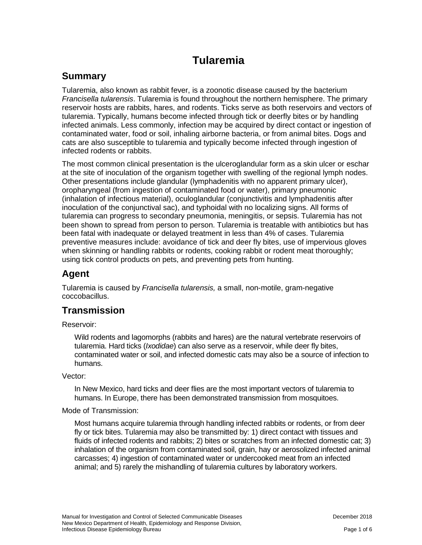# **Tularemia**

# **Summary**

Tularemia, also known as rabbit fever, is a zoonotic disease caused by the bacterium *Francisella tularensis*. Tularemia is found throughout the northern hemisphere. The primary reservoir hosts are rabbits, hares, and rodents. Ticks serve as both reservoirs and vectors of tularemia. Typically, humans become infected through tick or deerfly bites or by handling infected animals. Less commonly, infection may be acquired by direct contact or ingestion of contaminated water, food or soil, inhaling airborne bacteria, or from animal bites. Dogs and cats are also susceptible to tularemia and typically become infected through ingestion of infected rodents or rabbits.

The most common clinical presentation is the ulceroglandular form as a skin ulcer or eschar at the site of inoculation of the organism together with swelling of the regional lymph nodes. Other presentations include glandular (lymphadenitis with no apparent primary ulcer), oropharyngeal (from ingestion of contaminated food or water), primary pneumonic (inhalation of infectious material), oculoglandular (conjunctivitis and lymphadenitis after inoculation of the conjunctival sac), and typhoidal with no localizing signs. All forms of tularemia can progress to secondary pneumonia, meningitis, or sepsis. Tularemia has not been shown to spread from person to person. Tularemia is treatable with antibiotics but has been fatal with inadequate or delayed treatment in less than 4% of cases. Tularemia preventive measures include: avoidance of tick and deer fly bites, use of impervious gloves when skinning or handling rabbits or rodents, cooking rabbit or rodent meat thoroughly; using tick control products on pets, and preventing pets from hunting.

### **Agent**

Tularemia is caused by *Francisella tularensis,* a small, non-motile, gram-negative coccobacillus.

# **Transmission**

#### Reservoir:

Wild rodents and lagomorphs (rabbits and hares) are the natural vertebrate reservoirs of tularemia. Hard ticks (*Ixodidae*) can also serve as a reservoir, while deer fly bites, contaminated water or soil, and infected domestic cats may also be a source of infection to humans.

#### Vector:

In New Mexico, hard ticks and deer flies are the most important vectors of tularemia to humans. In Europe, there has been demonstrated transmission from mosquitoes.

#### Mode of Transmission:

Most humans acquire tularemia through handling infected rabbits or rodents, or from deer fly or tick bites. Tularemia may also be transmitted by: 1) direct contact with tissues and fluids of infected rodents and rabbits; 2) bites or scratches from an infected domestic cat; 3) inhalation of the organism from contaminated soil, grain, hay or aerosolized infected animal carcasses; 4) ingestion of contaminated water or undercooked meat from an infected animal; and 5) rarely the mishandling of tularemia cultures by laboratory workers.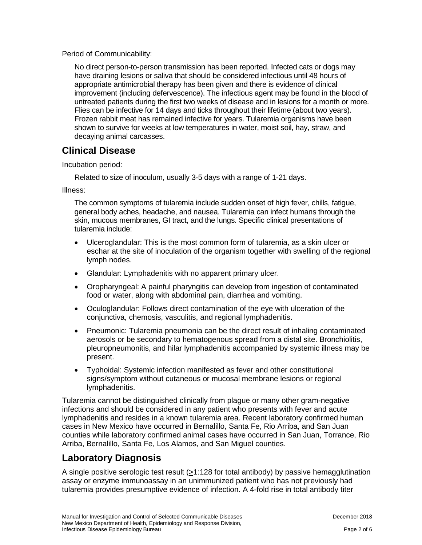Period of Communicability:

No direct person-to-person transmission has been reported. Infected cats or dogs may have draining lesions or saliva that should be considered infectious until 48 hours of appropriate antimicrobial therapy has been given and there is evidence of clinical improvement (including defervescence). The infectious agent may be found in the blood of untreated patients during the first two weeks of disease and in lesions for a month or more. Flies can be infective for 14 days and ticks throughout their lifetime (about two years). Frozen rabbit meat has remained infective for years. Tularemia organisms have been shown to survive for weeks at low temperatures in water, moist soil, hay, straw, and decaying animal carcasses.

### **Clinical Disease**

Incubation period:

Related to size of inoculum, usually 3-5 days with a range of 1-21 days.

Illness:

The common symptoms of tularemia include sudden onset of high fever, chills, fatigue, general body aches, headache, and nausea. Tularemia can infect humans through the skin, mucous membranes, GI tract, and the lungs. Specific clinical presentations of tularemia include:

- Ulceroglandular: This is the most common form of tularemia, as a skin ulcer or eschar at the site of inoculation of the organism together with swelling of the regional lymph nodes.
- Glandular: Lymphadenitis with no apparent primary ulcer.
- Oropharyngeal: A painful pharyngitis can develop from ingestion of contaminated food or water, along with abdominal pain, diarrhea and vomiting.
- Oculoglandular: Follows direct contamination of the eye with ulceration of the conjunctiva, chemosis, vasculitis, and regional lymphadenitis.
- Pneumonic: Tularemia pneumonia can be the direct result of inhaling contaminated aerosols or be secondary to hematogenous spread from a distal site. Bronchiolitis, pleuropneumonitis, and hilar lymphadenitis accompanied by systemic illness may be present.
- Typhoidal: Systemic infection manifested as fever and other constitutional signs/symptom without cutaneous or mucosal membrane lesions or regional lymphadenitis.

Tularemia cannot be distinguished clinically from plague or many other gram-negative infections and should be considered in any patient who presents with fever and acute lymphadenitis and resides in a known tularemia area. Recent laboratory confirmed human cases in New Mexico have occurred in Bernalillo, Santa Fe, Rio Arriba, and San Juan counties while laboratory confirmed animal cases have occurred in San Juan, Torrance, Rio Arriba, Bernalillo, Santa Fe, Los Alamos, and San Miguel counties.

# **Laboratory Diagnosis**

A single positive serologic test result (>1:128 for total antibody) by passive hemagglutination assay or enzyme immunoassay in an unimmunized patient who has not previously had tularemia provides presumptive evidence of infection. A 4-fold rise in total antibody titer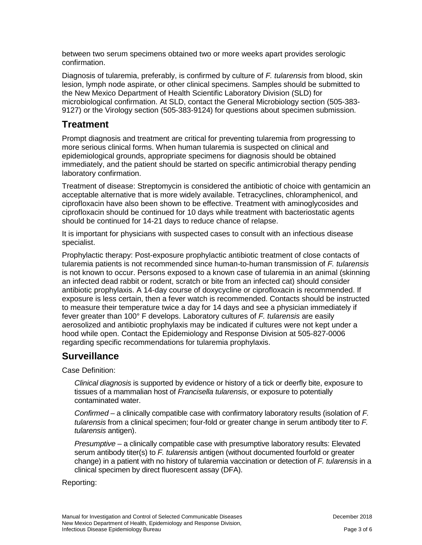between two serum specimens obtained two or more weeks apart provides serologic confirmation.

Diagnosis of tularemia, preferably, is confirmed by culture of *F. tularensis* from blood, skin lesion, lymph node aspirate, or other clinical specimens. Samples should be submitted to the New Mexico Department of Health Scientific Laboratory Division (SLD) for microbiological confirmation. At SLD, contact the General Microbiology section (505-383- 9127) or the Virology section (505-383-9124) for questions about specimen submission.

#### **Treatment**

Prompt diagnosis and treatment are critical for preventing tularemia from progressing to more serious clinical forms. When human tularemia is suspected on clinical and epidemiological grounds, appropriate specimens for diagnosis should be obtained immediately, and the patient should be started on specific antimicrobial therapy pending laboratory confirmation.

Treatment of disease: Streptomycin is considered the antibiotic of choice with gentamicin an acceptable alternative that is more widely available. Tetracyclines, chloramphenicol, and ciprofloxacin have also been shown to be effective. Treatment with aminoglycosides and ciprofloxacin should be continued for 10 days while treatment with bacteriostatic agents should be continued for 14-21 days to reduce chance of relapse.

It is important for physicians with suspected cases to consult with an infectious disease specialist.

Prophylactic therapy: Post-exposure prophylactic antibiotic treatment of close contacts of tularemia patients is not recommended since human-to-human transmission of *F. tularensis* is not known to occur. Persons exposed to a known case of tularemia in an animal (skinning an infected dead rabbit or rodent, scratch or bite from an infected cat) should consider antibiotic prophylaxis. A 14-day course of doxycycline or ciprofloxacin is recommended. If exposure is less certain, then a fever watch is recommended. Contacts should be instructed to measure their temperature twice a day for 14 days and see a physician immediately if fever greater than 100° F develops. Laboratory cultures of *F. tularensis* are easily aerosolized and antibiotic prophylaxis may be indicated if cultures were not kept under a hood while open. Contact the Epidemiology and Response Division at 505-827-0006 regarding specific recommendations for tularemia prophylaxis.

# **Surveillance**

Case Definition:

*Clinical diagnosis* is supported by evidence or history of a tick or deerfly bite, exposure to tissues of a mammalian host of *Francisella tularensis*, or exposure to potentially contaminated water.

*Confirmed* – a clinically compatible case with confirmatory laboratory results (isolation of *F. tularensis* from a clinical specimen; four-fold or greater change in serum antibody titer to *F. tularensis* antigen).

*Presumptive* – a clinically compatible case with presumptive laboratory results: Elevated serum antibody titer(s) to *F. tularensis* antigen (without documented fourfold or greater change) in a patient with no history of tularemia vaccination or detection of *F. tularensis* in a clinical specimen by direct fluorescent assay (DFA).

#### Reporting: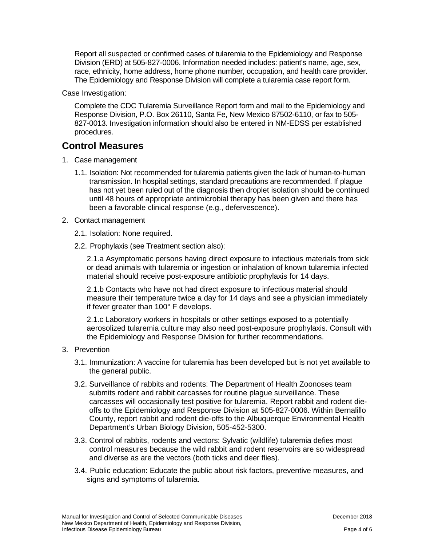Report all suspected or confirmed cases of tularemia to the Epidemiology and Response Division (ERD) at 505-827-0006. Information needed includes: patient's name, age, sex, race, ethnicity, home address, home phone number, occupation, and health care provider. The Epidemiology and Response Division will complete a tularemia case report form.

Case Investigation:

Complete the CDC Tularemia Surveillance Report form and mail to the Epidemiology and Response Division, P.O. Box 26110, Santa Fe, New Mexico 87502-6110, or fax to 505- 827-0013. Investigation information should also be entered in NM-EDSS per established procedures.

### **Control Measures**

- 1. Case management
	- 1.1. Isolation: Not recommended for tularemia patients given the lack of human-to-human transmission. In hospital settings, standard precautions are recommended. If plague has not yet been ruled out of the diagnosis then droplet isolation should be continued until 48 hours of appropriate antimicrobial therapy has been given and there has been a favorable clinical response (e.g., defervescence).
- 2. Contact management
	- 2.1. Isolation: None required.
	- 2.2. Prophylaxis (see Treatment section also):

2.1.a Asymptomatic persons having direct exposure to infectious materials from sick or dead animals with tularemia or ingestion or inhalation of known tularemia infected material should receive post-exposure antibiotic prophylaxis for 14 days.

2.1.b Contacts who have not had direct exposure to infectious material should measure their temperature twice a day for 14 days and see a physician immediately if fever greater than 100° F develops.

2.1.c Laboratory workers in hospitals or other settings exposed to a potentially aerosolized tularemia culture may also need post-exposure prophylaxis. Consult with the Epidemiology and Response Division for further recommendations.

- 3. Prevention
	- 3.1. Immunization: A vaccine for tularemia has been developed but is not yet available to the general public.
	- 3.2. Surveillance of rabbits and rodents: The Department of Health Zoonoses team submits rodent and rabbit carcasses for routine plague surveillance. These carcasses will occasionally test positive for tularemia. Report rabbit and rodent dieoffs to the Epidemiology and Response Division at 505-827-0006. Within Bernalillo County, report rabbit and rodent die-offs to the Albuquerque Environmental Health Department's Urban Biology Division, 505-452-5300.
	- 3.3. Control of rabbits, rodents and vectors: Sylvatic (wildlife) tularemia defies most control measures because the wild rabbit and rodent reservoirs are so widespread and diverse as are the vectors (both ticks and deer flies).
	- 3.4. Public education: Educate the public about risk factors, preventive measures, and signs and symptoms of tularemia.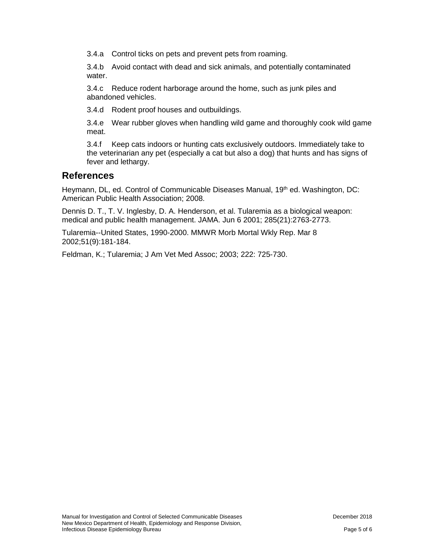3.4.a Control ticks on pets and prevent pets from roaming.

3.4.b Avoid contact with dead and sick animals, and potentially contaminated water.

3.4.c Reduce rodent harborage around the home, such as junk piles and abandoned vehicles.

3.4.d Rodent proof houses and outbuildings.

3.4.e Wear rubber gloves when handling wild game and thoroughly cook wild game meat.

3.4.f Keep cats indoors or hunting cats exclusively outdoors. Immediately take to the veterinarian any pet (especially a cat but also a dog) that hunts and has signs of fever and lethargy.

#### **References**

Heymann, DL, ed. Control of Communicable Diseases Manual, 19<sup>th</sup> ed. Washington, DC: American Public Health Association; 2008.

Dennis D. T., T. V. Inglesby, D. A. Henderson, et al. Tularemia as a biological weapon: medical and public health management. JAMA. Jun 6 2001; 285(21):2763-2773.

Tularemia--United States, 1990-2000. MMWR Morb Mortal Wkly Rep. Mar 8 2002;51(9):181-184.

Feldman, K.; Tularemia; J Am Vet Med Assoc; 2003; 222: 725-730.